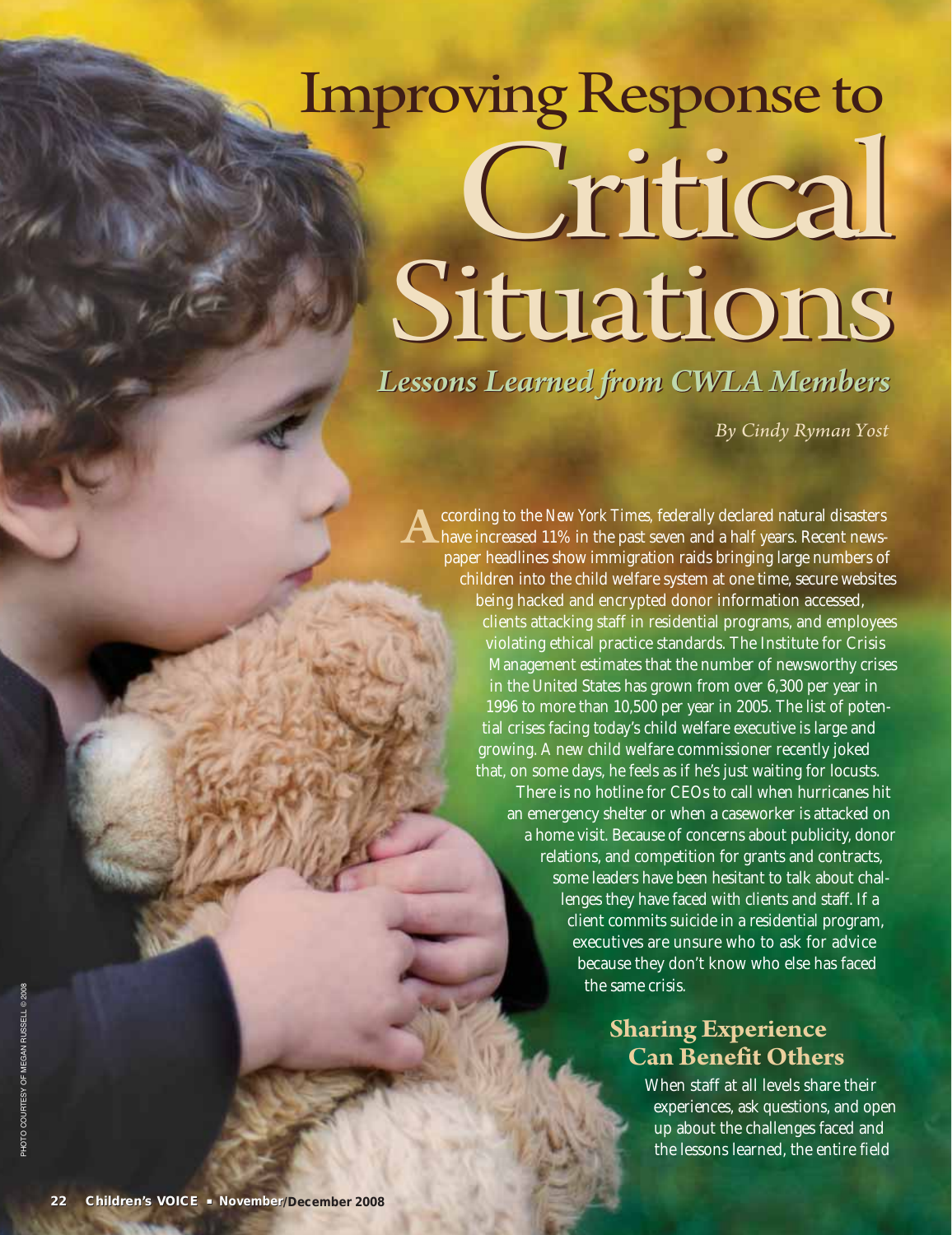# Critical Critical Improving Response to Situations

*Lessons Learned from CWLA Members Lessons Learned from CWLA Members*

*By Cindy Ryman Yost*

According to the *New York Times,* federally declared natural disasters have increased 11% in the past seven and a half years. Recent newspaper headlines show immigration raids bringing large numbers of children into the child welfare system at one time, secure websites being hacked and encrypted donor information accessed, clients attacking staff in residential programs, and employees violating ethical practice standards. The Institute for Crisis Management estimates that the number of newsworthy crises in the United States has grown from over 6,300 per year in 1996 to more than 10,500 per year in 2005. The list of potential crises facing today's child welfare executive is large and growing. A new child welfare commissioner recently joked that, on some days, he feels as if he's just waiting for locusts.

> There is no hotline for CEOs to call when hurricanes hit an emergency shelter or when a caseworker is attacked on a home visit. Because of concerns about publicity, donor relations, and competition for grants and contracts, some leaders have been hesitant to talk about challenges they have faced with clients and staff. If a client commits suicide in a residential program, executives are unsure who to ask for advice because they don't know who else has faced the same crisis.

### **Sharing Experience Can Benefit Others**

When staff at all levels share their experiences, ask questions, and open up about the challenges faced and the lessons learned, the entire field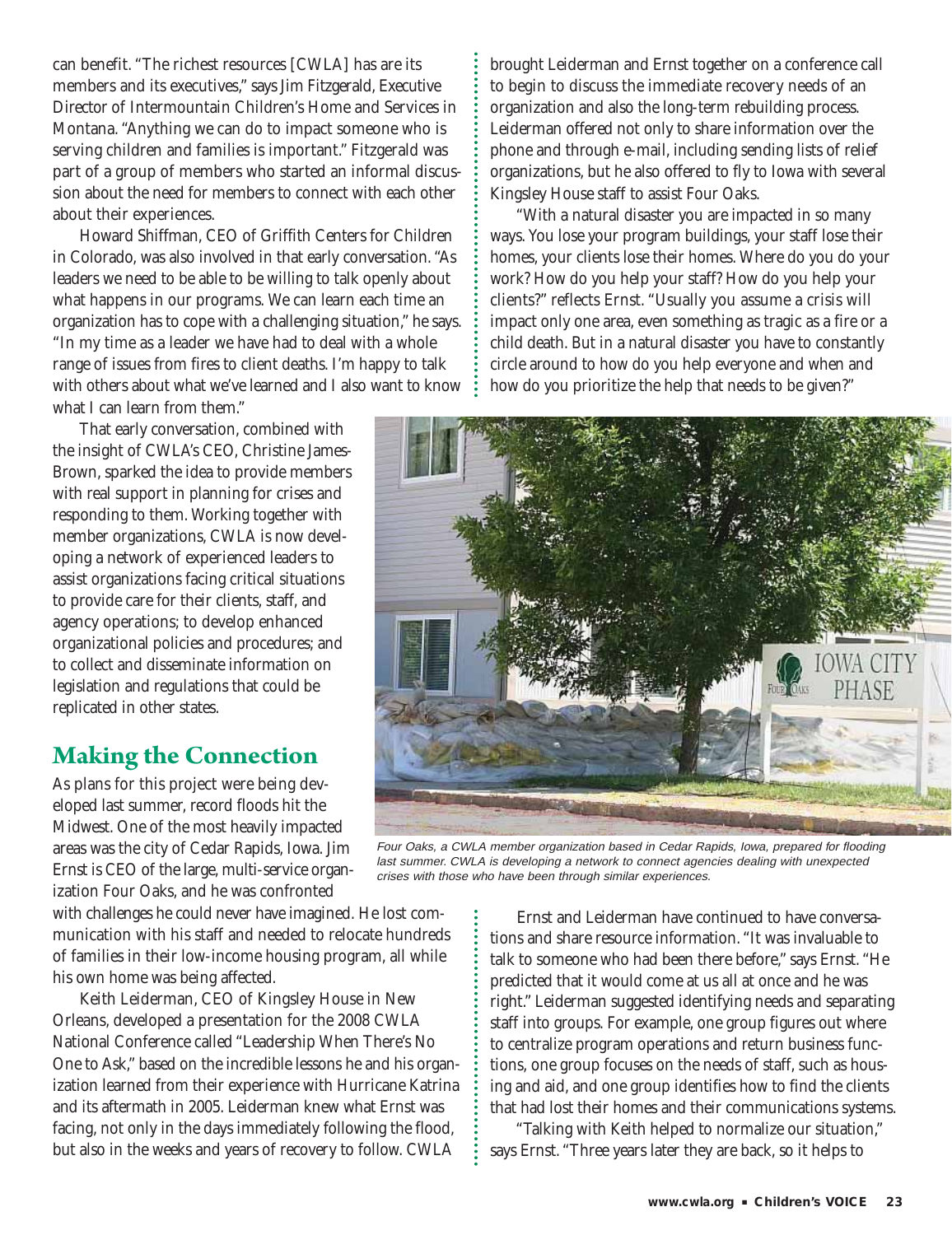can benefit. "The richest resources [CWLA] has are its members and its executives," says Jim Fitzgerald, Executive Director of Intermountain Children's Home and Services in Montana. "Anything we can do to impact someone who is serving children and families is important." Fitzgerald was part of a group of members who started an informal discussion about the need for members to connect with each other about their experiences.

Howard Shiffman, CEO of Griffith Centers for Children in Colorado, was also involved in that early conversation. "As leaders we need to be able to be willing to talk openly about what happens in our programs. We can learn each time an organization has to cope with a challenging situation," he says. "In my time as a leader we have had to deal with a whole range of issues from fires to client deaths. I'm happy to talk with others about what we've learned and I also want to know what I can learn from them."

That early conversation, combined with the insight of CWLA's CEO, Christine James-Brown, sparked the idea to provide members with real support in planning for crises and responding to them. Working together with member organizations, CWLA is now developing a network of experienced leaders to assist organizations facing critical situations to provide care for their clients, staff, and agency operations; to develop enhanced organizational policies and procedures; and to collect and disseminate information on legislation and regulations that could be replicated in other states.

#### **Making the Connection**

As plans for this project were being developed last summer, record floods hit the Midwest. One of the most heavily impacted areas was the city of Cedar Rapids, Iowa. Jim Ernst is CEO of the large, multi-service organization Four Oaks, and he was confronted

with challenges he could never have imagined. He lost communication with his staff and needed to relocate hundreds of families in their low-income housing program, all while his own home was being affected.

Keith Leiderman, CEO of Kingsley House in New Orleans, developed a presentation for the 2008 CWLA National Conference called "Leadership When There's No One to Ask," based on the incredible lessons he and his organization learned from their experience with Hurricane Katrina and its aftermath in 2005. Leiderman knew what Ernst was facing, not only in the days immediately following the flood, but also in the weeks and years of recovery to follow. CWLA

brought Leiderman and Ernst together on a conference call to begin to discuss the immediate recovery needs of an organization and also the long-term rebuilding process. Leiderman offered not only to share information over the phone and through e-mail, including sending lists of relief organizations, but he also offered to fly to Iowa with several Kingsley House staff to assist Four Oaks.

"With a natural disaster you are impacted in so many ways. You lose your program buildings, your staff lose their homes, your clients lose their homes. Where do you do your work? How do you help your staff? How do you help your clients?" reflects Ernst. "Usually you assume a crisis will impact only one area, even something as tragic as a fire or a child death. But in a natural disaster you have to constantly circle around to how do you help everyone and when and how do you prioritize the help that needs to be given?"



Four Oaks, a CWLA member organization based in Cedar Rapids, Iowa, prepared for flooding last summer. CWLA is developing a network to connect agencies dealing with unexpected crises with those who have been through similar experiences.

Ernst and Leiderman have continued to have conversations and share resource information. "It was invaluable to talk to someone who had been there before," says Ernst. "He predicted that it would come at us all at once and he was right." Leiderman suggested identifying needs and separating staff into groups. For example, one group figures out where to centralize program operations and return business functions, one group focuses on the needs of staff, such as housing and aid, and one group identifies how to find the clients that had lost their homes and their communications systems.

"Talking with Keith helped to normalize our situation," says Ernst. "Three years later they are back, so it helps to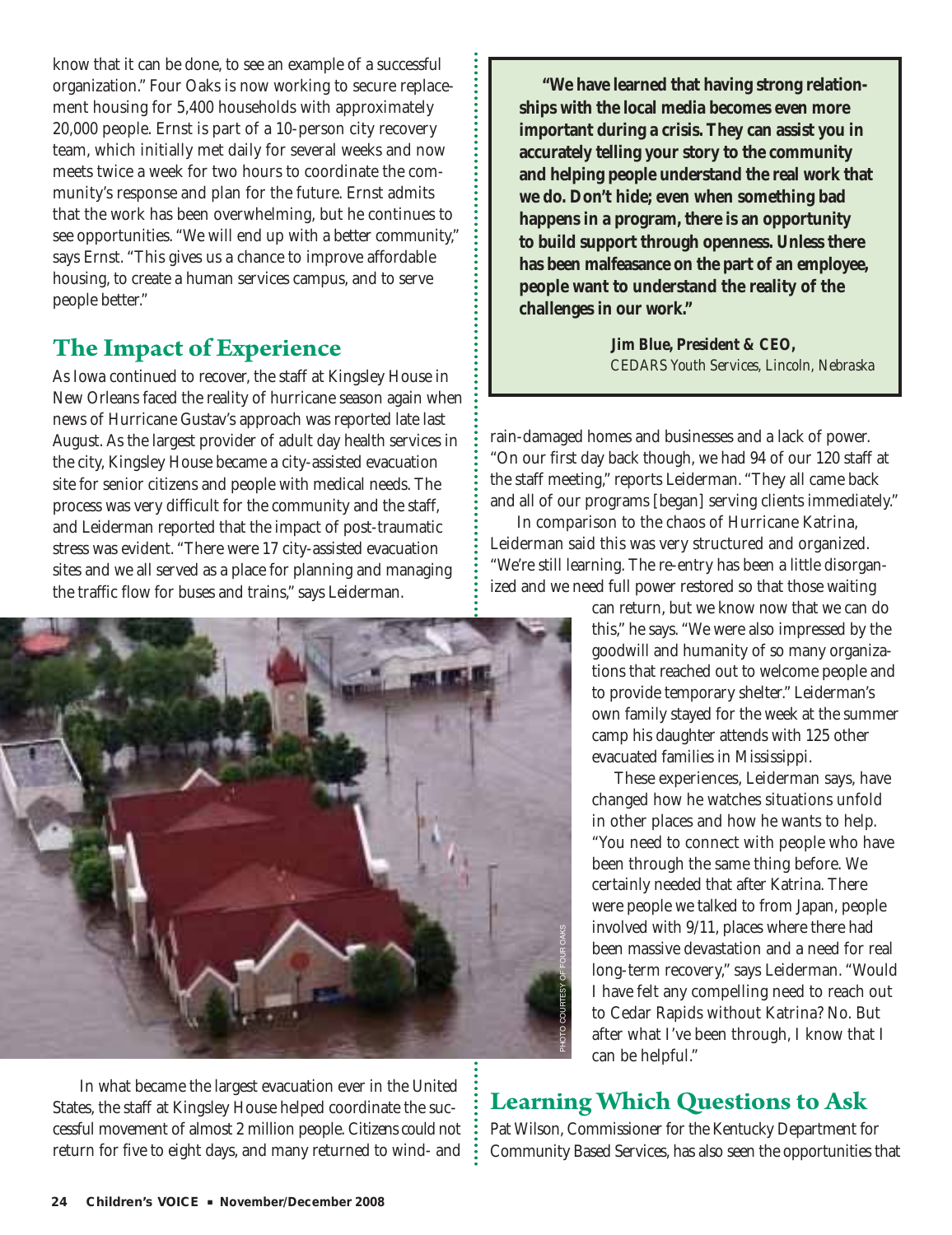know that it can be done, to see an example of a successful organization." Four Oaks is now working to secure replacement housing for 5,400 households with approximately 20,000 people. Ernst is part of a 10-person city recovery team, which initially met daily for several weeks and now meets twice a week for two hours to coordinate the community's response and plan for the future. Ernst admits that the work has been overwhelming, but he continues to see opportunities. "We will end up with a better community," says Ernst. "This gives us a chance to improve affordable housing, to create a human services campus, and to serve people better."

#### **The Impact of Experience**

As Iowa continued to recover, the staff at Kingsley House in New Orleans faced the reality of hurricane season again when news of Hurricane Gustav's approach was reported late last August. As the largest provider of adult day health services in the city, Kingsley House became a city-assisted evacuation site for senior citizens and people with medical needs. The process was very difficult for the community and the staff, and Leiderman reported that the impact of post-traumatic stress was evident. "There were 17 city-assisted evacuation sites and we all served as a place for planning and managing the traffic flow for buses and trains," says Leiderman.



In what became the largest evacuation ever in the United States, the staff at Kingsley House helped coordinate the successful movement of almost 2 million people. Citizens could not return for five to eight days, and many returned to wind- and

**"We have learned that having strong relationships with the local media becomes even more important during a crisis. They can assist you in accurately telling your story to the community and helping people understand the real work that we do. Don't hide; even when something bad happens in a program, there is an opportunity to build support through openness. Unless there has been malfeasance on the part of an employee, people want to understand the reality of the challenges in our work."**

> *Jim Blue, President & CEO, CEDARS Youth Services, Lincoln, Nebraska*

rain-damaged homes and businesses and a lack of power. "On our first day back though, we had 94 of our 120 staff at the staff meeting," reports Leiderman. "They all came back and all of our programs [began] serving clients immediately."

In comparison to the chaos of Hurricane Katrina, Leiderman said this was very structured and organized. "We're still learning. The re-entry has been a little disorganized and we need full power restored so that those waiting

> can return, but we know now that we can do this," he says. "We were also impressed by the goodwill and humanity of so many organizations that reached out to welcome people and to provide temporary shelter." Leiderman's own family stayed for the week at the summer camp his daughter attends with 125 other evacuated families in Mississippi.

> These experiences, Leiderman says, have changed how he watches situations unfold in other places and how he wants to help. "You need to connect with people who have been through the same thing before. We certainly needed that after Katrina. There were people we talked to from Japan, people involved with 9/11, places where there had been massive devastation and a need for real long-term recovery," says Leiderman. "Would I have felt any compelling need to reach out to Cedar Rapids without Katrina? No. But after what I've been through, I know that I can be helpful."

## **Learning Which Questions to Ask**

Pat Wilson, Commissioner for the Kentucky Department for Community Based Services, has also seen the opportunities that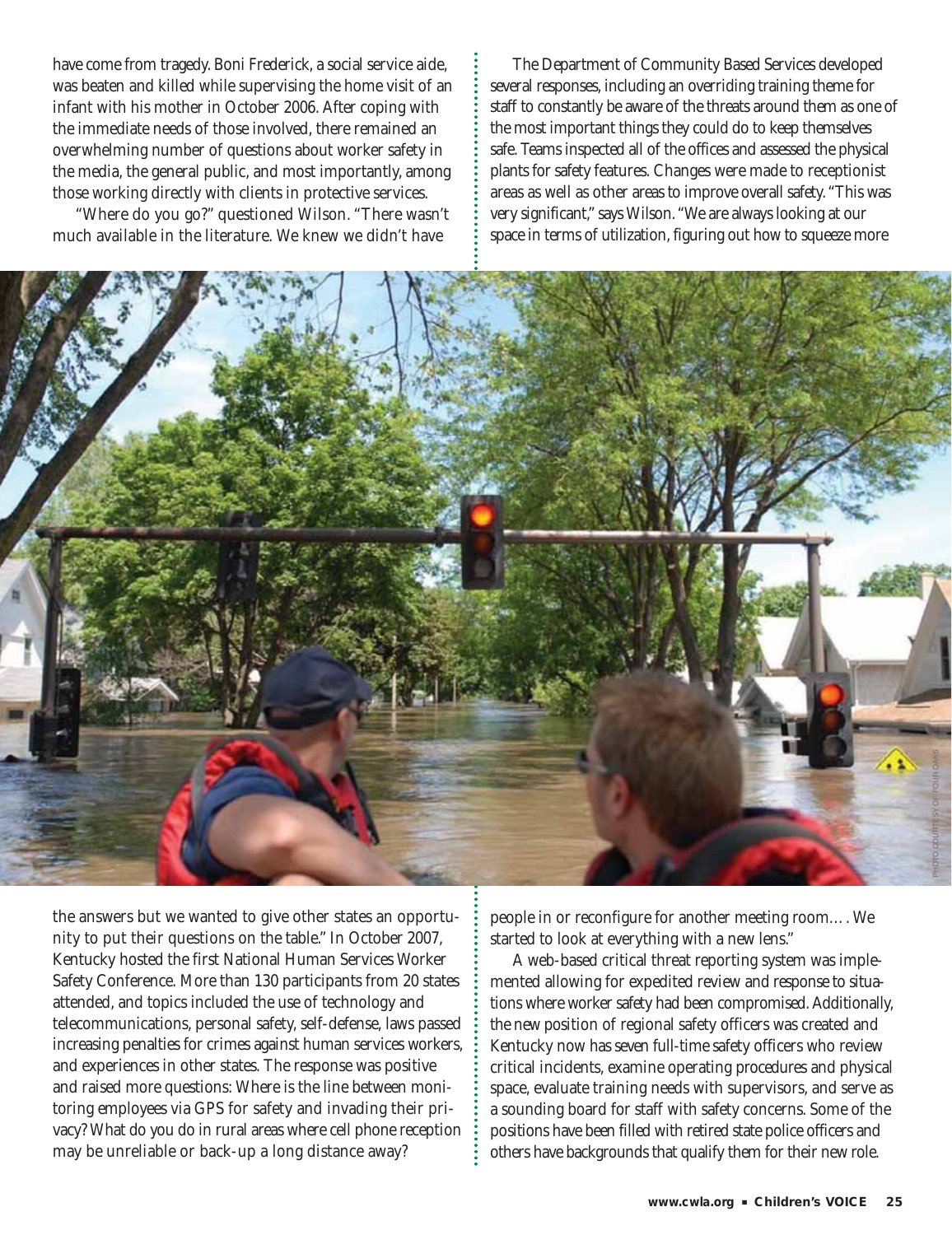have come from tragedy. Boni Frederick, a social service aide, was beaten and killed while supervising the home visit of an infant with his mother in October 2006. After coping with the immediate needs of those involved, there remained an overwhelming number of questions about worker safety in the media, the general public, and most importantly, among those working directly with clients in protective services.

"Where do you go?" questioned Wilson. "There wasn't much available in the literature. We knew we didn't have

The Department of Community Based Services developed several responses, including an overriding training theme for staff to constantly be aware of the threats around them as one of the most important things they could do to keep themselves safe. Teams inspected all of the offices and assessed the physical plants for safety features. Changes were made to receptionist areas as well as other areas to improve overall safety. "This was very significant," says Wilson. "We are always looking at our space in terms of utilization, figuring out how to squeeze more



the answers but we wanted to give other states an opportunity to put their questions on the table." In October 2007, Kentucky hosted the first National Human Services Worker Safety Conference. More than 130 participants from 20 states attended, and topics included the use of technology and telecommunications, personal safety, self-defense, laws passed increasing penalties for crimes against human services workers, and experiences in other states. The response was positive and raised more questions: Where is the line between monitoring employees via GPS for safety and invading their privacy? What do you do in rural areas where cell phone reception may be unreliable or back-up a long distance away?

people in or reconfigure for another meeting room…. We started to look at everything with a new lens."

A web-based critical threat reporting system was implemented allowing for expedited review and response to situations where worker safety had been compromised. Additionally, the new position of regional safety officers was created and Kentucky now has seven full-time safety officers who review critical incidents, examine operating procedures and physical space, evaluate training needs with supervisors, and serve as a sounding board for staff with safety concerns. Some of the positions have been filled with retired state police officers and others have backgrounds that qualify them for their new role.